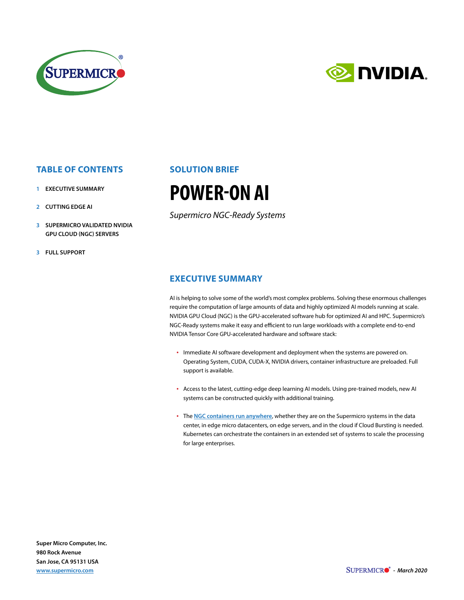

# **E NUDIA.**

### **TABLE OF CONTENTS**

- **1 EXECUTIVE SUMMARY**
- **2 CUTTING EDGE AI**
- **3 SUPERMICRO VALIDATED NVIDIA GPU CLOUD (NGC) SERVERS**
- **3 FULL SUPPORT**

### **SOLUTION BRIEF**

## **POWER-ON AI**

*Supermicro NGC-Ready Systems*

#### **EXECUTIVE SUMMARY**

AI is helping to solve some of the world's most complex problems. Solving these enormous challenges require the computation of large amounts of data and highly optimized AI models running at scale. NVIDIA GPU Cloud (NGC) is the GPU-accelerated software hub for optimized AI and HPC. Supermicro's NGC-Ready systems make it easy and efficient to run large workloads with a complete end-to-end NVIDIA Tensor Core GPU-accelerated hardware and software stack:

- Immediate AI software development and deployment when the systems are powered on. Operating System, CUDA, CUDA-X, NVIDIA drivers, container infrastructure are preloaded. Full support is available.
- Access to the latest, cutting-edge deep learning AI models. Using pre-trained models, new AI systems can be constructed quickly with additional training.
- The **[NGC containers run anywhere](http://ngc.nvidia.com/)**, whether they are on the Supermicro systems in the data center, in edge micro datacenters, on edge servers, and in the cloud if Cloud Bursting is needed. Kubernetes can orchestrate the containers in an extended set of systems to scale the processing for large enterprises.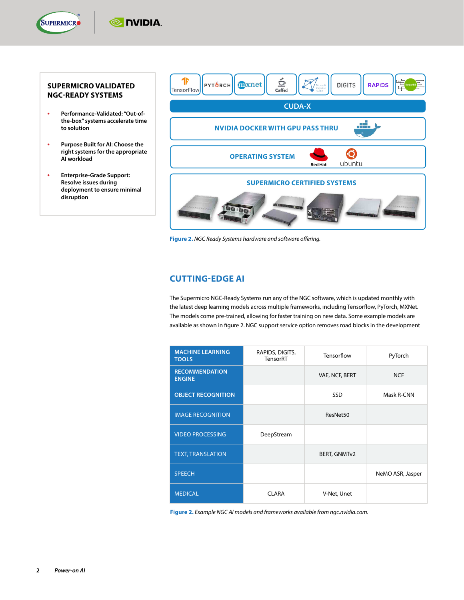

#### **SUPERMICRO VALIDATED NGC-READY SYSTEMS**

**TE NUDIA** 

- **• Performance-Validated: "Out-ofthe-box" systems accelerate time to solution**
- **• Purpose Built for AI: Choose the right systems for the appropriate AI workload**
- **• Enterprise-Grade Support: Resolve issues during deployment to ensure minimal disruption**



**Figure 2.** *NGC Ready Systems hardware and software offering.*

#### **CUTTING-EDGE AI**

The Supermicro NGC-Ready Systems run any of the NGC software, which is updated monthly with the latest deep learning models across multiple frameworks, including Tensorflow, PyTorch, MXNet. The models come pre-trained, allowing for faster training on new data. Some example models are available as shown in figure 2. NGC support service option removes road blocks in the development

| <b>MACHINE LEARNING</b><br><b>TOOLS</b> | RAPIDS, DIGITS,<br>TensorRT | Tensorflow          | PyTorch          |
|-----------------------------------------|-----------------------------|---------------------|------------------|
| <b>RECOMMENDATION</b><br><b>ENGINE</b>  |                             | VAE, NCF, BERT      | <b>NCF</b>       |
| <b>OBJECT RECOGNITION</b>               |                             | SSD                 | Mask R-CNN       |
| <b>IMAGE RECOGNITION</b>                |                             | ResNet50            |                  |
| <b>VIDEO PROCESSING</b>                 | DeepStream                  |                     |                  |
| <b>TEXT, TRANSLATION</b>                |                             | <b>BERT, GNMTv2</b> |                  |
| <b>SPEECH</b>                           |                             |                     | NeMO ASR, Jasper |
| <b>MEDICAL</b>                          | <b>CI ARA</b>               | V-Net, Unet         |                  |

**Figure 2.** *Example NGC AI models and frameworks available from ngc.nvidia.com.*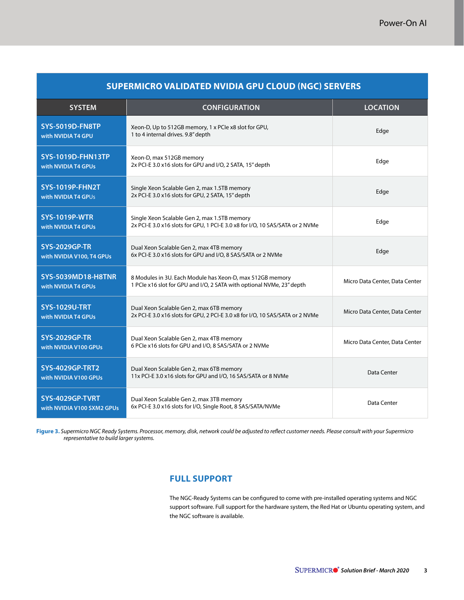| SUPERMICRO VALIDATED NVIDIA GPU CLOUD (NGC) SERVERS |                                                                                                                                    |                                |  |
|-----------------------------------------------------|------------------------------------------------------------------------------------------------------------------------------------|--------------------------------|--|
| <b>SYSTEM</b>                                       | <b>CONFIGURATION</b>                                                                                                               | <b>LOCATION</b>                |  |
| <b>SYS-5019D-FN8TP</b><br>with NVIDIA T4 GPU        | Xeon-D, Up to 512GB memory, 1 x PCIe x8 slot for GPU,<br>1 to 4 internal drives. 9.8" depth                                        | Edge                           |  |
| <b>SYS-1019D-FHN13TP</b><br>with NVIDIA T4 GPUs     | Xeon-D, max 512GB memory<br>2x PCI-E 3.0 x16 slots for GPU and I/O, 2 SATA, 15" depth                                              | Edge                           |  |
| <b>SYS-1019P-FHN2T</b><br>with NVIDIA T4 GPUs       | Single Xeon Scalable Gen 2, max 1.5TB memory<br>2x PCI-E 3.0 x16 slots for GPU, 2 SATA, 15" depth                                  | Edge                           |  |
| <b>SYS-1019P-WTR</b><br>with NVIDIA T4 GPUs         | Single Xeon Scalable Gen 2, max 1.5TB memory<br>2x PCI-E 3.0 x16 slots for GPU, 1 PCI-E 3.0 x8 for I/O, 10 SAS/SATA or 2 NVMe      | Edge                           |  |
| <b>SYS-2029GP-TR</b><br>with NVIDIA V100, T4 GPUs   | Dual Xeon Scalable Gen 2, max 4TB memory<br>6x PCI-E 3.0 x16 slots for GPU and I/O, 8 SAS/SATA or 2 NVMe                           | Edge                           |  |
| <b>SYS-5039MD18-H8TNR</b><br>with NVIDIA T4 GPUs    | 8 Modules in 3U. Each Module has Xeon-D, max 512GB memory<br>1 PCIe x16 slot for GPU and I/O, 2 SATA with optional NVMe, 23" depth | Micro Data Center, Data Center |  |
| <b>SYS-1029U-TRT</b><br>with NVIDIA T4 GPUs         | Dual Xeon Scalable Gen 2, max 6TB memory<br>2x PCI-E 3.0 x16 slots for GPU, 2 PCI-E 3.0 x8 for I/O, 10 SAS/SATA or 2 NVMe          | Micro Data Center, Data Center |  |
| <b>SYS-2029GP-TR</b><br>with NVIDIA V100 GPUs       | Dual Xeon Scalable Gen 2, max 4TB memory<br>6 PCIe x16 slots for GPU and I/O, 8 SAS/SATA or 2 NVMe                                 | Micro Data Center, Data Center |  |
| <b>SYS-4029GP-TRT2</b><br>with NVIDIA V100 GPUs     | Dual Xeon Scalable Gen 2, max 6TB memory<br>11x PCI-E 3.0 x16 slots for GPU and I/O, 16 SAS/SATA or 8 NVMe                         | Data Center                    |  |
| SYS-4029GP-TVRT<br>with NVIDIA V100 SXM2 GPUs       | Dual Xeon Scalable Gen 2, max 3TB memory<br>6x PCI-E 3.0 x16 slots for I/O, Single Root, 8 SAS/SATA/NVMe                           | Data Center                    |  |

**Figure 3.** *Supermicro NGC Ready Systems. Processor, memory, disk, network could be adjusted to reflect customer needs. Please consult with your Supermicro representative to build larger systems.*

#### **FULL SUPPORT**

The NGC-Ready Systems can be configured to come with pre-installed operating systems and NGC support software. Full support for the hardware system, the Red Hat or Ubuntu operating system, and the NGC software is available.